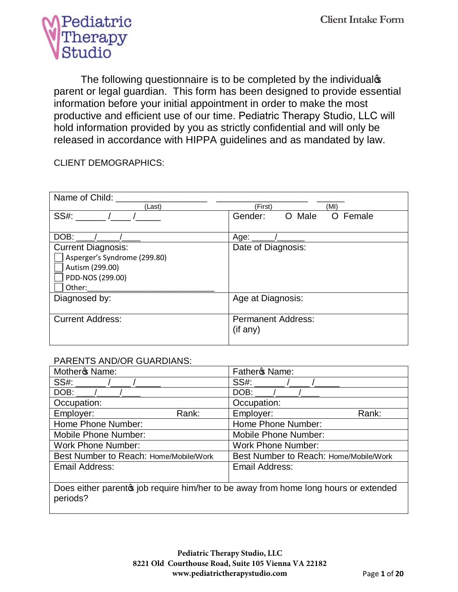

The following questionnaire is to be completed by the individualoption parent or legal guardian. This form has been designed to provide essential information before your initial appointment in order to make the most productive and efficient use of our time. Pediatric Therapy Studio, LLC will hold information provided by you as strictly confidential and will only be released in accordance with HIPPA guidelines and as mandated by law.

CLIENT DEMOGRAPHICS:

| Name of Child:                                                                                             |                                       |
|------------------------------------------------------------------------------------------------------------|---------------------------------------|
| (Last)                                                                                                     | (First)<br>(MI)                       |
| <b>SS#:</b>                                                                                                | Gender:<br>O Male<br>O Female         |
| DOB:                                                                                                       | Age:                                  |
| <b>Current Diagnosis:</b><br>Asperger's Syndrome (299.80)<br>Autism (299.00)<br>PDD-NOS (299.00)<br>Other: | Date of Diagnosis:                    |
| Diagnosed by:                                                                                              | Age at Diagnosis:                     |
| <b>Current Address:</b>                                                                                    | <b>Permanent Address:</b><br>(if any) |

### PARENTS AND/OR GUARDIANS:

| Mother <sub>\$</sub> Name:             |       | Father <sup>o</sup> s Name:                                                         |       |
|----------------------------------------|-------|-------------------------------------------------------------------------------------|-------|
| SS#:                                   |       | SS#:                                                                                |       |
| DOB:                                   |       | DOB:                                                                                |       |
| Occupation:                            |       | Occupation:                                                                         |       |
| Employer:                              | Rank: | Employer:                                                                           | Rank: |
| Home Phone Number:                     |       | Home Phone Number:                                                                  |       |
| <b>Mobile Phone Number:</b>            |       | <b>Mobile Phone Number:</b>                                                         |       |
| <b>Work Phone Number:</b>              |       | <b>Work Phone Number:</b>                                                           |       |
| Best Number to Reach: Home/Mobile/Work |       | Best Number to Reach: Home/Mobile/Work                                              |       |
| Email Address:                         |       | Email Address:                                                                      |       |
|                                        |       |                                                                                     |       |
|                                        |       | Does either parents job require him/her to be away from home long hours or extended |       |

ther parent& job require him/her to be away from home long hours or extended periods?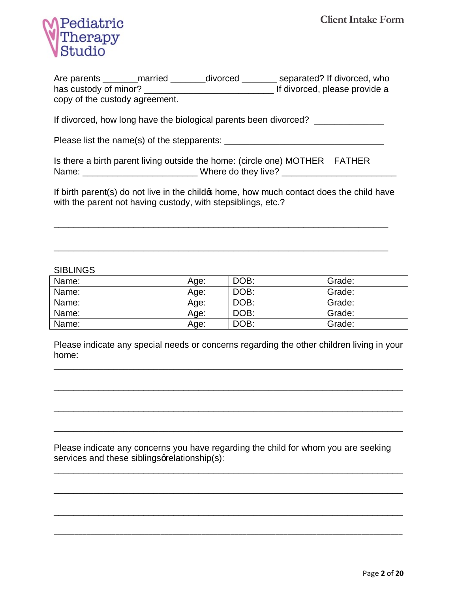

| Are parents                    | married | divorced |  | separated? If divorced, who   |  |
|--------------------------------|---------|----------|--|-------------------------------|--|
| has custody of minor?          |         |          |  | If divorced, please provide a |  |
| copy of the custody agreement. |         |          |  |                               |  |

If divorced, how long have the biological parents been divorced? \_\_\_\_\_\_\_\_\_\_\_\_\_\_\_

Please list the name(s) of the stepparents: \_\_\_\_\_\_\_\_\_\_\_\_\_\_\_\_\_\_\_\_\_\_\_\_\_\_\_\_\_\_\_\_

| Is there a birth parent living outside the home: (circle one) MOTHER FATHER |                     |  |
|-----------------------------------------------------------------------------|---------------------|--|
| Name:                                                                       | Where do they live? |  |

If birth parent(s) do not live in the child phome, how much contact does the child have with the parent not having custody, with stepsiblings, etc.?

\_\_\_\_\_\_\_\_\_\_\_\_\_\_\_\_\_\_\_\_\_\_\_\_\_\_\_\_\_\_\_\_\_\_\_\_\_\_\_\_\_\_\_\_\_\_\_\_\_\_\_\_\_\_\_\_\_\_\_\_\_\_\_\_\_\_\_

\_\_\_\_\_\_\_\_\_\_\_\_\_\_\_\_\_\_\_\_\_\_\_\_\_\_\_\_\_\_\_\_\_\_\_\_\_\_\_\_\_\_\_\_\_\_\_\_\_\_\_\_\_\_\_\_\_\_\_\_\_\_\_\_\_\_\_

#### **SIBLINGS**

| Name: | Age: | DOB: | Grade: |
|-------|------|------|--------|
| Name: | Age: | DOB: | Grade: |
| Name: | Age: | DOB: | Grade: |
| Name: | Age: | DOB: | Grade: |
| Name: | Age: | DOB: | Grade: |

Please indicate any special needs or concerns regarding the other children living in your home:

\_\_\_\_\_\_\_\_\_\_\_\_\_\_\_\_\_\_\_\_\_\_\_\_\_\_\_\_\_\_\_\_\_\_\_\_\_\_\_\_\_\_\_\_\_\_\_\_\_\_\_\_\_\_\_\_\_\_\_\_\_\_\_\_\_\_\_\_\_\_

\_\_\_\_\_\_\_\_\_\_\_\_\_\_\_\_\_\_\_\_\_\_\_\_\_\_\_\_\_\_\_\_\_\_\_\_\_\_\_\_\_\_\_\_\_\_\_\_\_\_\_\_\_\_\_\_\_\_\_\_\_\_\_\_\_\_\_\_\_\_

\_\_\_\_\_\_\_\_\_\_\_\_\_\_\_\_\_\_\_\_\_\_\_\_\_\_\_\_\_\_\_\_\_\_\_\_\_\_\_\_\_\_\_\_\_\_\_\_\_\_\_\_\_\_\_\_\_\_\_\_\_\_\_\_\_\_\_\_\_\_

\_\_\_\_\_\_\_\_\_\_\_\_\_\_\_\_\_\_\_\_\_\_\_\_\_\_\_\_\_\_\_\_\_\_\_\_\_\_\_\_\_\_\_\_\_\_\_\_\_\_\_\_\_\_\_\_\_\_\_\_\_\_\_\_\_\_\_\_\_\_

\_\_\_\_\_\_\_\_\_\_\_\_\_\_\_\_\_\_\_\_\_\_\_\_\_\_\_\_\_\_\_\_\_\_\_\_\_\_\_\_\_\_\_\_\_\_\_\_\_\_\_\_\_\_\_\_\_\_\_\_\_\_\_\_\_\_\_\_\_\_

\_\_\_\_\_\_\_\_\_\_\_\_\_\_\_\_\_\_\_\_\_\_\_\_\_\_\_\_\_\_\_\_\_\_\_\_\_\_\_\_\_\_\_\_\_\_\_\_\_\_\_\_\_\_\_\_\_\_\_\_\_\_\_\_\_\_\_\_\_\_

\_\_\_\_\_\_\_\_\_\_\_\_\_\_\_\_\_\_\_\_\_\_\_\_\_\_\_\_\_\_\_\_\_\_\_\_\_\_\_\_\_\_\_\_\_\_\_\_\_\_\_\_\_\_\_\_\_\_\_\_\_\_\_\_\_\_\_\_\_\_

\_\_\_\_\_\_\_\_\_\_\_\_\_\_\_\_\_\_\_\_\_\_\_\_\_\_\_\_\_\_\_\_\_\_\_\_\_\_\_\_\_\_\_\_\_\_\_\_\_\_\_\_\_\_\_\_\_\_\_\_\_\_\_\_\_\_\_\_\_\_\_\_\_\_\_\_\_\_\_\_\_\_\_\_\_

Please indicate any concerns you have regarding the child for whom you are seeking services and these siblings qrelationship(s):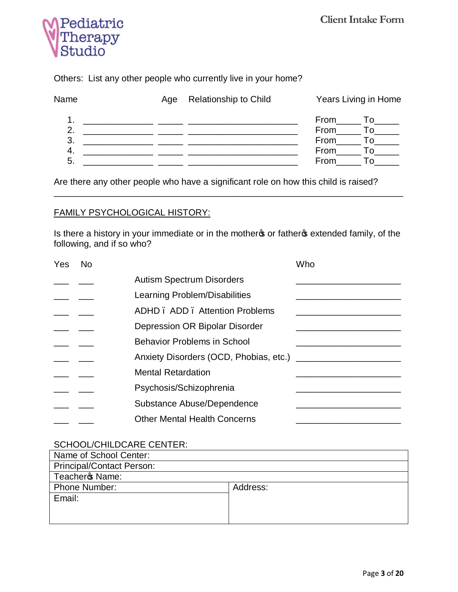

Others: List any other people who currently live in your home?

| Name | Age | <b>Relationship to Child</b> | Years Living in Home                    |  |
|------|-----|------------------------------|-----------------------------------------|--|
| -3.  |     |                              | From<br>1 O<br>From<br>$\Omega$<br>From |  |
| 5    |     |                              | From<br>From                            |  |

Are there any other people who have a significant role on how this child is raised?

## FAMILY PSYCHOLOGICAL HISTORY:

Is there a history in your immediate or in the mother or father of extended family, of the following, and if so who?

\_\_\_\_\_\_\_\_\_\_\_\_\_\_\_\_\_\_\_\_\_\_\_\_\_\_\_\_\_\_\_\_\_\_\_\_\_\_\_\_\_\_\_\_\_\_\_\_\_\_\_\_\_\_\_\_\_\_\_\_\_\_\_\_\_\_\_\_\_\_

| Yes | <b>No</b> |                                     | Who |
|-----|-----------|-------------------------------------|-----|
|     |           | <b>Autism Spectrum Disorders</b>    |     |
|     |           | Learning Problem/Disabilities       |     |
|     |           | ADHD, ADD, Attention Problems       |     |
|     |           | Depression OR Bipolar Disorder      |     |
|     |           | <b>Behavior Problems in School</b>  |     |
|     |           |                                     |     |
|     |           | <b>Mental Retardation</b>           |     |
|     |           | Psychosis/Schizophrenia             |     |
|     |           | Substance Abuse/Dependence          |     |
|     |           | <b>Other Mental Health Concerns</b> |     |

### SCHOOL/CHILDCARE CENTER:

| Name of School Center:           |          |
|----------------------------------|----------|
| <b>Principal/Contact Person:</b> |          |
| Teachero Name:                   |          |
| <b>Phone Number:</b>             | Address: |
| Email:                           |          |
|                                  |          |
|                                  |          |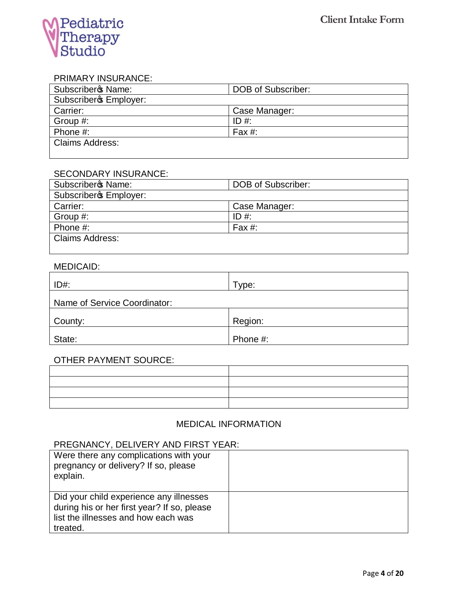

#### PRIMARY INSURANCE:

| Subscriberos Name:     | DOB of Subscriber: |
|------------------------|--------------------|
| Subscribero Employer:  |                    |
| Carrier:               | Case Manager:      |
| Group #:               | ID #:              |
| Phone #:               | Fax #:             |
| <b>Claims Address:</b> |                    |
|                        |                    |

#### SECONDARY INSURANCE:

| <b>Subscriberc Name:</b> | <b>DOB of Subscriber:</b> |
|--------------------------|---------------------------|
| Subscribero Employer:    |                           |
| Carrier:                 | Case Manager:             |
| Group #:                 | ID #:                     |
| Phone $#$ :              | Fax $#$ :                 |
| <b>Claims Address:</b>   |                           |
|                          |                           |

#### MEDICAID:

| $ID#$ :                      | Type:    |
|------------------------------|----------|
| Name of Service Coordinator: |          |
| County:                      | Region:  |
| State:                       | Phone #: |

#### OTHER PAYMENT SOURCE:

| <u> 1989 - Andrea Stadt Britain, amerikansk politik (* 1958)</u> |  |
|------------------------------------------------------------------|--|
|                                                                  |  |
|                                                                  |  |
|                                                                  |  |

# MEDICAL INFORMATION

## PREGNANCY, DELIVERY AND FIRST YEAR:

| Were there any complications with your<br>pregnancy or delivery? If so, please<br>explain.                                                |  |
|-------------------------------------------------------------------------------------------------------------------------------------------|--|
| Did your child experience any illnesses<br>during his or her first year? If so, please<br>list the illnesses and how each was<br>treated. |  |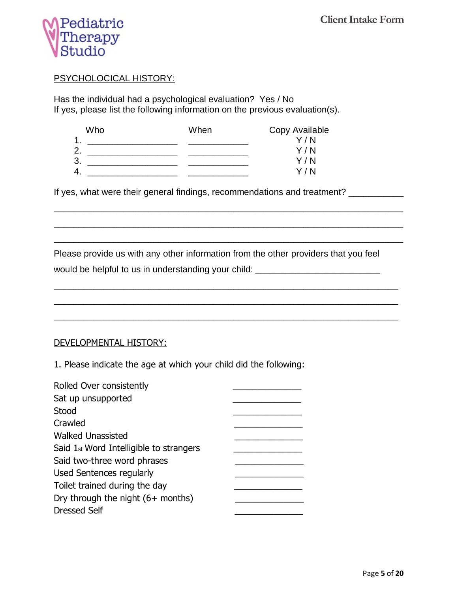

### PSYCHOLOCICAL HISTORY:

Has the individual had a psychological evaluation? Yes / No If yes, please list the following information on the previous evaluation(s).

| Who      | When | Copy Available |
|----------|------|----------------|
| и        |      | Y/N            |
| ◠        |      | Y/N            |
| າ<br>.ಎ  |      | Y/N            |
| $\Delta$ |      | Y / N          |

If yes, what were their general findings, recommendations and treatment? \_\_\_\_\_\_\_\_\_

Please provide us with any other information from the other providers that you feel

\_\_\_\_\_\_\_\_\_\_\_\_\_\_\_\_\_\_\_\_\_\_\_\_\_\_\_\_\_\_\_\_\_\_\_\_\_\_\_\_\_\_\_\_\_\_\_\_\_\_\_\_\_\_\_\_\_\_\_\_\_\_\_\_\_\_\_\_\_\_

\_\_\_\_\_\_\_\_\_\_\_\_\_\_\_\_\_\_\_\_\_\_\_\_\_\_\_\_\_\_\_\_\_\_\_\_\_\_\_\_\_\_\_\_\_\_\_\_\_\_\_\_\_\_\_\_\_\_\_\_\_\_\_\_\_\_\_\_\_\_

\_\_\_\_\_\_\_\_\_\_\_\_\_\_\_\_\_\_\_\_\_\_\_\_\_\_\_\_\_\_\_\_\_\_\_\_\_\_\_\_\_\_\_\_\_\_\_\_\_\_\_\_\_\_\_\_\_\_\_\_\_\_\_\_\_\_\_\_\_\_

would be helpful to us in understanding your child: \_\_\_\_\_\_\_\_\_\_\_\_\_\_\_\_\_\_\_\_\_\_\_\_\_\_\_\_

\_\_\_\_\_\_\_\_\_\_\_\_\_\_\_\_\_\_\_\_\_\_\_\_\_\_\_\_\_\_\_\_\_\_\_\_\_\_\_\_\_\_\_\_\_\_\_\_\_\_\_\_\_\_\_\_\_\_\_\_\_\_\_\_\_\_\_\_\_ \_\_\_\_\_\_\_\_\_\_\_\_\_\_\_\_\_\_\_\_\_\_\_\_\_\_\_\_\_\_\_\_\_\_\_\_\_\_\_\_\_\_\_\_\_\_\_\_\_\_\_\_\_\_\_\_\_\_\_\_\_\_\_\_\_\_\_\_\_ \_\_\_\_\_\_\_\_\_\_\_\_\_\_\_\_\_\_\_\_\_\_\_\_\_\_\_\_\_\_\_\_\_\_\_\_\_\_\_\_\_\_\_\_\_\_\_\_\_\_\_\_\_\_\_\_\_\_\_\_\_\_\_\_\_\_\_\_\_

### DEVELOPMENTAL HISTORY:

1. Please indicate the age at which your child did the following:

| Rolled Over consistently                            |  |
|-----------------------------------------------------|--|
| Sat up unsupported                                  |  |
| Stood                                               |  |
| Crawled                                             |  |
| <b>Walked Unassisted</b>                            |  |
| Said 1 <sub>st</sub> Word Intelligible to strangers |  |
| Said two-three word phrases                         |  |
| Used Sentences regularly                            |  |
| Toilet trained during the day                       |  |
| Dry through the night $(6+$ months)                 |  |
| <b>Dressed Self</b>                                 |  |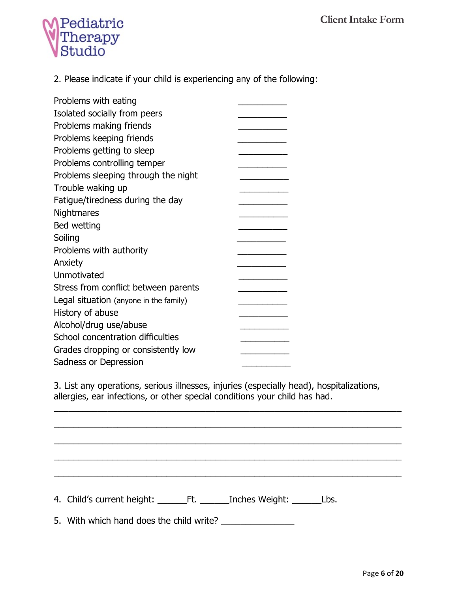

2. Please indicate if your child is experiencing any of the following:

| Problems with eating                   |  |
|----------------------------------------|--|
| Isolated socially from peers           |  |
| Problems making friends                |  |
| Problems keeping friends               |  |
| Problems getting to sleep              |  |
| Problems controlling temper            |  |
| Problems sleeping through the night    |  |
| Trouble waking up                      |  |
| Fatigue/tiredness during the day       |  |
| Nightmares                             |  |
| Bed wetting                            |  |
| Soiling                                |  |
| Problems with authority                |  |
| Anxiety                                |  |
| Unmotivated                            |  |
| Stress from conflict between parents   |  |
| Legal situation (anyone in the family) |  |
| History of abuse                       |  |
| Alcohol/drug use/abuse                 |  |
| School concentration difficulties      |  |
| Grades dropping or consistently low    |  |
| Sadness or Depression                  |  |

3. List any operations, serious illnesses, injuries (especially head), hospitalizations, allergies, ear infections, or other special conditions your child has had.

\_\_\_\_\_\_\_\_\_\_\_\_\_\_\_\_\_\_\_\_\_\_\_\_\_\_\_\_\_\_\_\_\_\_\_\_\_\_\_\_\_\_\_\_\_\_\_\_\_\_\_\_\_\_\_\_\_\_\_\_\_\_\_\_\_\_\_\_\_\_\_

\_\_\_\_\_\_\_\_\_\_\_\_\_\_\_\_\_\_\_\_\_\_\_\_\_\_\_\_\_\_\_\_\_\_\_\_\_\_\_\_\_\_\_\_\_\_\_\_\_\_\_\_\_\_\_\_\_\_\_\_\_\_\_\_\_\_\_\_\_\_\_

\_\_\_\_\_\_\_\_\_\_\_\_\_\_\_\_\_\_\_\_\_\_\_\_\_\_\_\_\_\_\_\_\_\_\_\_\_\_\_\_\_\_\_\_\_\_\_\_\_\_\_\_\_\_\_\_\_\_\_\_\_\_\_\_\_\_\_\_\_\_\_

\_\_\_\_\_\_\_\_\_\_\_\_\_\_\_\_\_\_\_\_\_\_\_\_\_\_\_\_\_\_\_\_\_\_\_\_\_\_\_\_\_\_\_\_\_\_\_\_\_\_\_\_\_\_\_\_\_\_\_\_\_\_\_\_\_\_\_\_\_\_\_

 $\overline{a_1}$  ,  $\overline{a_2}$  ,  $\overline{a_3}$  ,  $\overline{a_4}$  ,  $\overline{a_5}$  ,  $\overline{a_6}$  ,  $\overline{a_7}$  ,  $\overline{a_8}$  ,  $\overline{a_9}$  ,  $\overline{a_9}$  ,  $\overline{a_9}$  ,  $\overline{a_9}$  ,  $\overline{a_9}$  ,  $\overline{a_9}$  ,  $\overline{a_9}$  ,  $\overline{a_9}$  ,  $\overline{a_9}$  ,

4. Child's current height: \_\_\_\_\_\_\_Ft. \_\_\_\_\_\_Inches Weight: \_\_\_\_\_\_\_Lbs.

5. With which hand does the child write? \_\_\_\_\_\_\_\_\_\_\_\_\_\_\_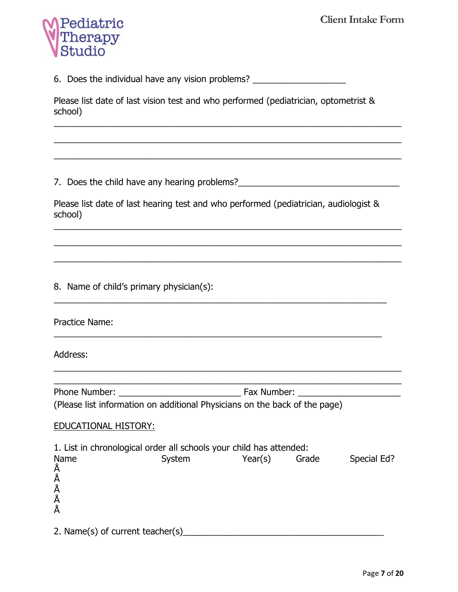

6. Does the individual have any vision problems? \_\_\_\_\_\_\_\_\_\_\_\_\_\_\_\_\_\_\_\_\_\_\_\_\_\_\_\_\_\_\_

Please list date of last vision test and who performed (pediatrician, optometrist & school)

\_\_\_\_\_\_\_\_\_\_\_\_\_\_\_\_\_\_\_\_\_\_\_\_\_\_\_\_\_\_\_\_\_\_\_\_\_\_\_\_\_\_\_\_\_\_\_\_\_\_\_\_\_\_\_\_\_\_\_\_\_\_\_\_\_\_\_\_\_\_\_

\_\_\_\_\_\_\_\_\_\_\_\_\_\_\_\_\_\_\_\_\_\_\_\_\_\_\_\_\_\_\_\_\_\_\_\_\_\_\_\_\_\_\_\_\_\_\_\_\_\_\_\_\_\_\_\_\_\_\_\_\_\_\_\_\_\_\_\_\_\_\_

 $\overline{a_1}$  ,  $\overline{a_2}$  ,  $\overline{a_3}$  ,  $\overline{a_4}$  ,  $\overline{a_5}$  ,  $\overline{a_6}$  ,  $\overline{a_7}$  ,  $\overline{a_8}$  ,  $\overline{a_9}$  ,  $\overline{a_9}$  ,  $\overline{a_9}$  ,  $\overline{a_9}$  ,  $\overline{a_9}$  ,  $\overline{a_9}$  ,  $\overline{a_9}$  ,  $\overline{a_9}$  ,  $\overline{a_9}$  ,

7. Does the child have any hearing problems?

Please list date of last hearing test and who performed (pediatrician, audiologist & school)

\_\_\_\_\_\_\_\_\_\_\_\_\_\_\_\_\_\_\_\_\_\_\_\_\_\_\_\_\_\_\_\_\_\_\_\_\_\_\_\_\_\_\_\_\_\_\_\_\_\_\_\_\_\_\_\_\_\_\_\_\_\_\_\_\_\_\_\_\_\_\_

\_\_\_\_\_\_\_\_\_\_\_\_\_\_\_\_\_\_\_\_\_\_\_\_\_\_\_\_\_\_\_\_\_\_\_\_\_\_\_\_\_\_\_\_\_\_\_\_\_\_\_\_\_\_\_\_\_\_\_\_\_\_\_\_\_\_\_\_\_\_\_

\_\_\_\_\_\_\_\_\_\_\_\_\_\_\_\_\_\_\_\_\_\_\_\_\_\_\_\_\_\_\_\_\_\_\_\_\_\_\_\_\_\_\_\_\_\_\_\_\_\_\_\_\_\_\_\_\_\_\_\_\_\_\_\_\_\_\_\_\_\_\_

\_\_\_\_\_\_\_\_\_\_\_\_\_\_\_\_\_\_\_\_\_\_\_\_\_\_\_\_\_\_\_\_\_\_\_\_\_\_\_\_\_\_\_\_\_\_\_\_\_\_\_\_\_\_\_\_\_\_\_\_\_\_\_\_\_\_\_\_

\_\_\_\_\_\_\_\_\_\_\_\_\_\_\_\_\_\_\_\_\_\_\_\_\_\_\_\_\_\_\_\_\_\_\_\_\_\_\_\_\_\_\_\_\_\_\_\_\_\_\_\_\_\_\_\_\_\_\_\_\_\_\_\_\_\_\_

8. Name of child's primary physician(s):

Practice Name:

Address:

Phone Number: The Phone Number: The Phone Number:  $\frac{1}{2}$  Fax Number: (Please list information on additional Physicians on the back of the page)

\_\_\_\_\_\_\_\_\_\_\_\_\_\_\_\_\_\_\_\_\_\_\_\_\_\_\_\_\_\_\_\_\_\_\_\_\_\_\_\_\_\_\_\_\_\_\_\_\_\_\_\_\_\_\_\_\_\_\_\_\_\_\_\_\_\_\_\_\_\_\_  $\overline{a_1}$  ,  $\overline{a_2}$  ,  $\overline{a_3}$  ,  $\overline{a_4}$  ,  $\overline{a_5}$  ,  $\overline{a_6}$  ,  $\overline{a_7}$  ,  $\overline{a_8}$  ,  $\overline{a_9}$  ,  $\overline{a_9}$  ,  $\overline{a_9}$  ,  $\overline{a_9}$  ,  $\overline{a_9}$  ,  $\overline{a_9}$  ,  $\overline{a_9}$  ,  $\overline{a_9}$  ,  $\overline{a_9}$  ,

### EDUCATIONAL HISTORY:

1. List in chronological order all schools your child has attended: Name System Year(s) Grade Special Ed? • • • • •

2. Name(s) of current teacher(s)\_\_\_\_\_\_\_\_\_\_\_\_\_\_\_\_\_\_\_\_\_\_\_\_\_\_\_\_\_\_\_\_\_\_\_\_\_\_\_\_\_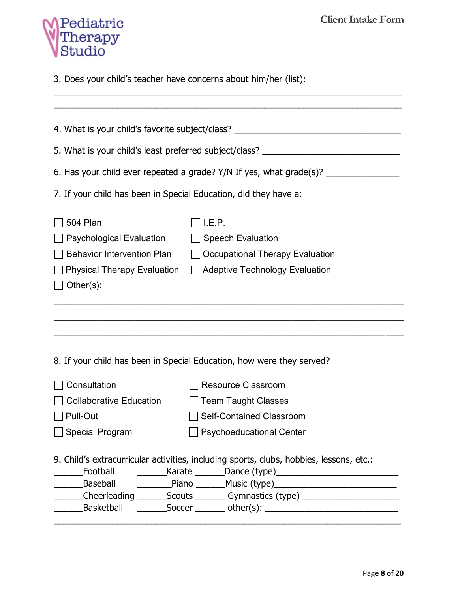

3. Does your child's teacher have concerns about him/her (list):

|                                                                                  | 4. What is your child's favorite subject/class? ________________________________                                                                                                                                                                                 |  |  |  |
|----------------------------------------------------------------------------------|------------------------------------------------------------------------------------------------------------------------------------------------------------------------------------------------------------------------------------------------------------------|--|--|--|
| 5. What is your child's least preferred subject/class? _________________________ |                                                                                                                                                                                                                                                                  |  |  |  |
|                                                                                  | 6. Has your child ever repeated a grade? Y/N If yes, what grade(s)? ____________                                                                                                                                                                                 |  |  |  |
| 7. If your child has been in Special Education, did they have a:                 |                                                                                                                                                                                                                                                                  |  |  |  |
| 504 Plan                                                                         | I.E.P.                                                                                                                                                                                                                                                           |  |  |  |
| <b>Psychological Evaluation</b>                                                  | □ Speech Evaluation                                                                                                                                                                                                                                              |  |  |  |
| <b>Behavior Intervention Plan</b>                                                | $\Box$ Occupational Therapy Evaluation                                                                                                                                                                                                                           |  |  |  |
| □ Physical Therapy Evaluation □ Adaptive Technology Evaluation                   |                                                                                                                                                                                                                                                                  |  |  |  |
| $\Box$ Other(s):                                                                 |                                                                                                                                                                                                                                                                  |  |  |  |
|                                                                                  |                                                                                                                                                                                                                                                                  |  |  |  |
|                                                                                  |                                                                                                                                                                                                                                                                  |  |  |  |
|                                                                                  | 8. If your child has been in Special Education, how were they served?                                                                                                                                                                                            |  |  |  |
| Consultation                                                                     | <b>Resource Classroom</b>                                                                                                                                                                                                                                        |  |  |  |
| <b>Collaborative Education</b>                                                   | <b>Team Taught Classes</b>                                                                                                                                                                                                                                       |  |  |  |
| Pull-Out                                                                         | Self-Contained Classroom                                                                                                                                                                                                                                         |  |  |  |
| <b>Special Program</b><br><b>Psychoeducational Center</b>                        |                                                                                                                                                                                                                                                                  |  |  |  |
|                                                                                  | 9. Child's extracurricular activities, including sports, clubs, hobbies, lessons, etc.:<br>__________Baseball    ___________Piano ________Music (type) _____________________<br>Cheerleading __________Scouts __________ Gymnastics (type) _____________________ |  |  |  |
|                                                                                  | __________Basketball   __________Soccer _________ other(s): _____________________                                                                                                                                                                                |  |  |  |

\_\_\_\_\_\_\_\_\_\_\_\_\_\_\_\_\_\_\_\_\_\_\_\_\_\_\_\_\_\_\_\_\_\_\_\_\_\_\_\_\_\_\_\_\_\_\_\_\_\_\_\_\_\_\_\_\_\_\_\_\_\_\_\_\_\_\_\_\_\_\_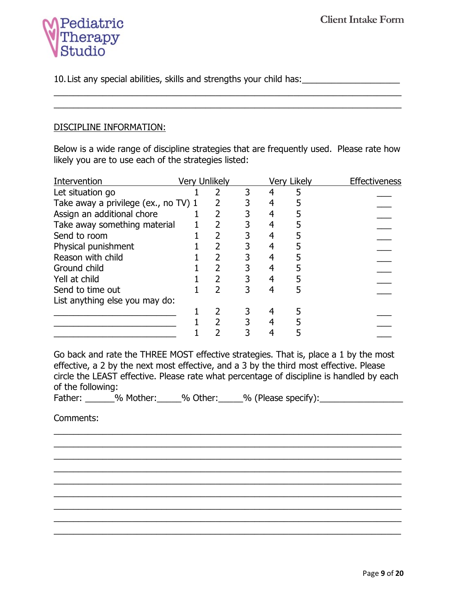

10.List any special abilities, skills and strengths your child has:\_\_\_\_\_\_\_\_\_\_\_\_\_\_\_\_\_\_\_\_

### DISCIPLINE INFORMATION:

Below is a wide range of discipline strategies that are frequently used. Please rate how likely you are to use each of the strategies listed:

\_\_\_\_\_\_\_\_\_\_\_\_\_\_\_\_\_\_\_\_\_\_\_\_\_\_\_\_\_\_\_\_\_\_\_\_\_\_\_\_\_\_\_\_\_\_\_\_\_\_\_\_\_\_\_\_\_\_\_\_\_\_\_\_\_\_\_\_\_\_\_ \_\_\_\_\_\_\_\_\_\_\_\_\_\_\_\_\_\_\_\_\_\_\_\_\_\_\_\_\_\_\_\_\_\_\_\_\_\_\_\_\_\_\_\_\_\_\_\_\_\_\_\_\_\_\_\_\_\_\_\_\_\_\_\_\_\_\_\_\_\_\_

| Intervention                         | <b>Very Unlikely</b> |  | <b>Very Likely</b> | Effectiveness |
|--------------------------------------|----------------------|--|--------------------|---------------|
| Let situation go                     |                      |  |                    |               |
| Take away a privilege (ex., no TV) 1 |                      |  |                    |               |
| Assign an additional chore           |                      |  |                    |               |
| Take away something material         |                      |  |                    |               |
| Send to room                         |                      |  |                    |               |
| Physical punishment                  |                      |  |                    |               |
| Reason with child                    |                      |  |                    |               |
| Ground child                         |                      |  |                    |               |
| Yell at child                        |                      |  |                    |               |
| Send to time out                     |                      |  |                    |               |
| List anything else you may do:       |                      |  |                    |               |
|                                      |                      |  |                    |               |
|                                      |                      |  |                    |               |
|                                      |                      |  |                    |               |
|                                      |                      |  |                    |               |

Go back and rate the THREE MOST effective strategies. That is, place a 1 by the most effective, a 2 by the next most effective, and a 3 by the third most effective. Please circle the LEAST effective. Please rate what percentage of discipline is handled by each of the following:

\_\_\_\_\_\_\_\_\_\_\_\_\_\_\_\_\_\_\_\_\_\_\_\_\_\_\_\_\_\_\_\_\_\_\_\_\_\_\_\_\_\_\_\_\_\_\_\_\_\_\_\_\_\_\_\_\_\_\_\_\_\_\_\_\_\_\_\_\_\_\_ \_\_\_\_\_\_\_\_\_\_\_\_\_\_\_\_\_\_\_\_\_\_\_\_\_\_\_\_\_\_\_\_\_\_\_\_\_\_\_\_\_\_\_\_\_\_\_\_\_\_\_\_\_\_\_\_\_\_\_\_\_\_\_\_\_\_\_\_\_\_\_ \_\_\_\_\_\_\_\_\_\_\_\_\_\_\_\_\_\_\_\_\_\_\_\_\_\_\_\_\_\_\_\_\_\_\_\_\_\_\_\_\_\_\_\_\_\_\_\_\_\_\_\_\_\_\_\_\_\_\_\_\_\_\_\_\_\_\_\_\_\_\_ \_\_\_\_\_\_\_\_\_\_\_\_\_\_\_\_\_\_\_\_\_\_\_\_\_\_\_\_\_\_\_\_\_\_\_\_\_\_\_\_\_\_\_\_\_\_\_\_\_\_\_\_\_\_\_\_\_\_\_\_\_\_\_\_\_\_\_\_\_\_\_ \_\_\_\_\_\_\_\_\_\_\_\_\_\_\_\_\_\_\_\_\_\_\_\_\_\_\_\_\_\_\_\_\_\_\_\_\_\_\_\_\_\_\_\_\_\_\_\_\_\_\_\_\_\_\_\_\_\_\_\_\_\_\_\_\_\_\_\_\_\_\_ \_\_\_\_\_\_\_\_\_\_\_\_\_\_\_\_\_\_\_\_\_\_\_\_\_\_\_\_\_\_\_\_\_\_\_\_\_\_\_\_\_\_\_\_\_\_\_\_\_\_\_\_\_\_\_\_\_\_\_\_\_\_\_\_\_\_\_\_\_\_\_ \_\_\_\_\_\_\_\_\_\_\_\_\_\_\_\_\_\_\_\_\_\_\_\_\_\_\_\_\_\_\_\_\_\_\_\_\_\_\_\_\_\_\_\_\_\_\_\_\_\_\_\_\_\_\_\_\_\_\_\_\_\_\_\_\_\_\_\_\_\_\_ \_\_\_\_\_\_\_\_\_\_\_\_\_\_\_\_\_\_\_\_\_\_\_\_\_\_\_\_\_\_\_\_\_\_\_\_\_\_\_\_\_\_\_\_\_\_\_\_\_\_\_\_\_\_\_\_\_\_\_\_\_\_\_\_\_\_\_\_\_\_\_ \_\_\_\_\_\_\_\_\_\_\_\_\_\_\_\_\_\_\_\_\_\_\_\_\_\_\_\_\_\_\_\_\_\_\_\_\_\_\_\_\_\_\_\_\_\_\_\_\_\_\_\_\_\_\_\_\_\_\_\_\_\_\_\_\_\_\_\_\_\_\_

Father: 30 % Mother: 30 % Other: 30 % (Please specify):

Comments: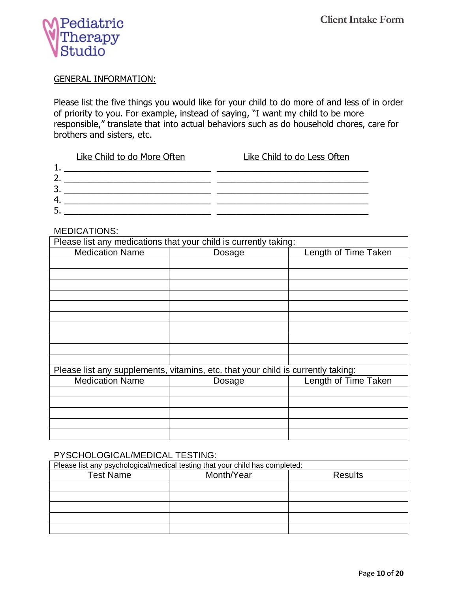

### GENERAL INFORMATION:

Please list the five things you would like for your child to do more of and less of in order of priority to you. For example, instead of saying, "I want my child to be more responsible," translate that into actual behaviors such as do household chores, care for brothers and sisters, etc.

|   | Like Child to do More Often | Like Child to do Less Often |
|---|-----------------------------|-----------------------------|
|   |                             |                             |
|   |                             |                             |
| ∍ |                             |                             |
| 4 |                             |                             |
| 5 |                             |                             |
|   |                             |                             |

#### MEDICATIONS:

| Please list any medications that your child is currently taking:                 |        |                      |  |  |
|----------------------------------------------------------------------------------|--------|----------------------|--|--|
| <b>Medication Name</b>                                                           | Dosage | Length of Time Taken |  |  |
|                                                                                  |        |                      |  |  |
|                                                                                  |        |                      |  |  |
|                                                                                  |        |                      |  |  |
|                                                                                  |        |                      |  |  |
|                                                                                  |        |                      |  |  |
|                                                                                  |        |                      |  |  |
|                                                                                  |        |                      |  |  |
|                                                                                  |        |                      |  |  |
|                                                                                  |        |                      |  |  |
|                                                                                  |        |                      |  |  |
| Please list any supplements, vitamins, etc. that your child is currently taking: |        |                      |  |  |
| <b>Medication Name</b>                                                           | Dosage | Length of Time Taken |  |  |
|                                                                                  |        |                      |  |  |
|                                                                                  |        |                      |  |  |
|                                                                                  |        |                      |  |  |
|                                                                                  |        |                      |  |  |
|                                                                                  |        |                      |  |  |

### PYSCHOLOGICAL/MEDICAL TESTING:

| Please list any psychological/medical testing that your child has completed: |            |                |  |
|------------------------------------------------------------------------------|------------|----------------|--|
| <b>Test Name</b>                                                             | Month/Year | <b>Results</b> |  |
|                                                                              |            |                |  |
|                                                                              |            |                |  |
|                                                                              |            |                |  |
|                                                                              |            |                |  |
|                                                                              |            |                |  |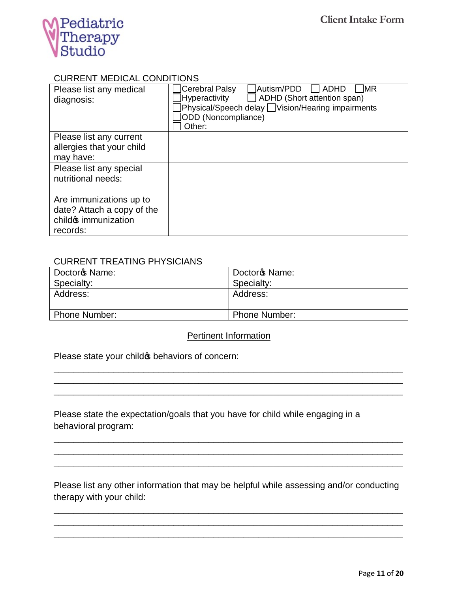

#### CURRENT MEDICAL CONDITIONS

| Please list any medical<br>diagnosis: | <b>Cerebral Palsy</b><br>Autism/PDD<br>MR)<br>ADHD<br>Hyperactivity<br>ADHD (Short attention span)<br>Physical/Speech delay Uvision/Hearing impairments<br>ODD (Noncompliance)<br>Other: |
|---------------------------------------|------------------------------------------------------------------------------------------------------------------------------------------------------------------------------------------|
| Please list any current               |                                                                                                                                                                                          |
| allergies that your child             |                                                                                                                                                                                          |
| may have:                             |                                                                                                                                                                                          |
| Please list any special               |                                                                                                                                                                                          |
| nutritional needs:                    |                                                                                                                                                                                          |
|                                       |                                                                                                                                                                                          |
| Are immunizations up to               |                                                                                                                                                                                          |
| date? Attach a copy of the            |                                                                                                                                                                                          |
| childos immunization                  |                                                                                                                                                                                          |
| records:                              |                                                                                                                                                                                          |

### CURRENT TREATING PHYSICIANS

| Doctor <sup>o</sup> s Name: | Doctor <sup>o</sup> s Name: |
|-----------------------------|-----------------------------|
| Specialty:                  | Specialty:                  |
| Address:                    | Address:                    |
| <b>Phone Number:</b>        | <b>Phone Number:</b>        |

### Pertinent Information

\_\_\_\_\_\_\_\_\_\_\_\_\_\_\_\_\_\_\_\_\_\_\_\_\_\_\_\_\_\_\_\_\_\_\_\_\_\_\_\_\_\_\_\_\_\_\_\_\_\_\_\_\_\_\_\_\_\_\_\_\_\_\_\_\_\_\_\_\_\_ \_\_\_\_\_\_\_\_\_\_\_\_\_\_\_\_\_\_\_\_\_\_\_\_\_\_\_\_\_\_\_\_\_\_\_\_\_\_\_\_\_\_\_\_\_\_\_\_\_\_\_\_\_\_\_\_\_\_\_\_\_\_\_\_\_\_\_\_\_\_ \_\_\_\_\_\_\_\_\_\_\_\_\_\_\_\_\_\_\_\_\_\_\_\_\_\_\_\_\_\_\_\_\_\_\_\_\_\_\_\_\_\_\_\_\_\_\_\_\_\_\_\_\_\_\_\_\_\_\_\_\_\_\_\_\_\_\_\_\_\_

Please state your child the behaviors of concern:

Please state the expectation/goals that you have for child while engaging in a behavioral program:

Please list any other information that may be helpful while assessing and/or conducting therapy with your child:

\_\_\_\_\_\_\_\_\_\_\_\_\_\_\_\_\_\_\_\_\_\_\_\_\_\_\_\_\_\_\_\_\_\_\_\_\_\_\_\_\_\_\_\_\_\_\_\_\_\_\_\_\_\_\_\_\_\_\_\_\_\_\_\_\_\_\_\_\_\_ \_\_\_\_\_\_\_\_\_\_\_\_\_\_\_\_\_\_\_\_\_\_\_\_\_\_\_\_\_\_\_\_\_\_\_\_\_\_\_\_\_\_\_\_\_\_\_\_\_\_\_\_\_\_\_\_\_\_\_\_\_\_\_\_\_\_\_\_\_\_ \_\_\_\_\_\_\_\_\_\_\_\_\_\_\_\_\_\_\_\_\_\_\_\_\_\_\_\_\_\_\_\_\_\_\_\_\_\_\_\_\_\_\_\_\_\_\_\_\_\_\_\_\_\_\_\_\_\_\_\_\_\_\_\_\_\_\_\_\_\_

\_\_\_\_\_\_\_\_\_\_\_\_\_\_\_\_\_\_\_\_\_\_\_\_\_\_\_\_\_\_\_\_\_\_\_\_\_\_\_\_\_\_\_\_\_\_\_\_\_\_\_\_\_\_\_\_\_\_\_\_\_\_\_\_\_\_\_\_\_\_ \_\_\_\_\_\_\_\_\_\_\_\_\_\_\_\_\_\_\_\_\_\_\_\_\_\_\_\_\_\_\_\_\_\_\_\_\_\_\_\_\_\_\_\_\_\_\_\_\_\_\_\_\_\_\_\_\_\_\_\_\_\_\_\_\_\_\_\_\_\_ \_\_\_\_\_\_\_\_\_\_\_\_\_\_\_\_\_\_\_\_\_\_\_\_\_\_\_\_\_\_\_\_\_\_\_\_\_\_\_\_\_\_\_\_\_\_\_\_\_\_\_\_\_\_\_\_\_\_\_\_\_\_\_\_\_\_\_\_\_\_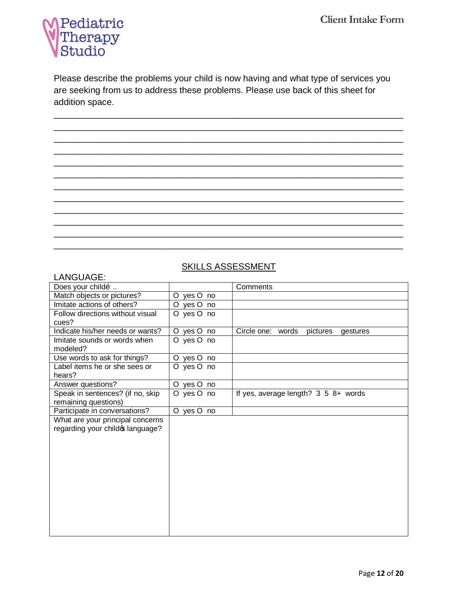

Please describe the problems your child is now having and what type of services you are seeking from us to address these problems. Please use back of this sheet for addition space.

\_\_\_\_\_\_\_\_\_\_\_\_\_\_\_\_\_\_\_\_\_\_\_\_\_\_\_\_\_\_\_\_\_\_\_\_\_\_\_\_\_\_\_\_\_\_\_\_\_\_\_\_\_\_\_\_\_\_\_\_\_\_\_\_\_\_\_\_\_\_ \_\_\_\_\_\_\_\_\_\_\_\_\_\_\_\_\_\_\_\_\_\_\_\_\_\_\_\_\_\_\_\_\_\_\_\_\_\_\_\_\_\_\_\_\_\_\_\_\_\_\_\_\_\_\_\_\_\_\_\_\_\_\_\_\_\_\_\_\_\_ \_\_\_\_\_\_\_\_\_\_\_\_\_\_\_\_\_\_\_\_\_\_\_\_\_\_\_\_\_\_\_\_\_\_\_\_\_\_\_\_\_\_\_\_\_\_\_\_\_\_\_\_\_\_\_\_\_\_\_\_\_\_\_\_\_\_\_\_\_\_ \_\_\_\_\_\_\_\_\_\_\_\_\_\_\_\_\_\_\_\_\_\_\_\_\_\_\_\_\_\_\_\_\_\_\_\_\_\_\_\_\_\_\_\_\_\_\_\_\_\_\_\_\_\_\_\_\_\_\_\_\_\_\_\_\_\_\_\_\_\_ \_\_\_\_\_\_\_\_\_\_\_\_\_\_\_\_\_\_\_\_\_\_\_\_\_\_\_\_\_\_\_\_\_\_\_\_\_\_\_\_\_\_\_\_\_\_\_\_\_\_\_\_\_\_\_\_\_\_\_\_\_\_\_\_\_\_\_\_\_\_ \_\_\_\_\_\_\_\_\_\_\_\_\_\_\_\_\_\_\_\_\_\_\_\_\_\_\_\_\_\_\_\_\_\_\_\_\_\_\_\_\_\_\_\_\_\_\_\_\_\_\_\_\_\_\_\_\_\_\_\_\_\_\_\_\_\_\_\_\_\_ \_\_\_\_\_\_\_\_\_\_\_\_\_\_\_\_\_\_\_\_\_\_\_\_\_\_\_\_\_\_\_\_\_\_\_\_\_\_\_\_\_\_\_\_\_\_\_\_\_\_\_\_\_\_\_\_\_\_\_\_\_\_\_\_\_\_\_\_\_\_ \_\_\_\_\_\_\_\_\_\_\_\_\_\_\_\_\_\_\_\_\_\_\_\_\_\_\_\_\_\_\_\_\_\_\_\_\_\_\_\_\_\_\_\_\_\_\_\_\_\_\_\_\_\_\_\_\_\_\_\_\_\_\_\_\_\_\_\_\_\_ \_\_\_\_\_\_\_\_\_\_\_\_\_\_\_\_\_\_\_\_\_\_\_\_\_\_\_\_\_\_\_\_\_\_\_\_\_\_\_\_\_\_\_\_\_\_\_\_\_\_\_\_\_\_\_\_\_\_\_\_\_\_\_\_\_\_\_\_\_\_ \_\_\_\_\_\_\_\_\_\_\_\_\_\_\_\_\_\_\_\_\_\_\_\_\_\_\_\_\_\_\_\_\_\_\_\_\_\_\_\_\_\_\_\_\_\_\_\_\_\_\_\_\_\_\_\_\_\_\_\_\_\_\_\_\_\_\_\_\_\_ \_\_\_\_\_\_\_\_\_\_\_\_\_\_\_\_\_\_\_\_\_\_\_\_\_\_\_\_\_\_\_\_\_\_\_\_\_\_\_\_\_\_\_\_\_\_\_\_\_\_\_\_\_\_\_\_\_\_\_\_\_\_\_\_\_\_\_\_\_\_ \_\_\_\_\_\_\_\_\_\_\_\_\_\_\_\_\_\_\_\_\_\_\_\_\_\_\_\_\_\_\_\_\_\_\_\_\_\_\_\_\_\_\_\_\_\_\_\_\_\_\_\_\_\_\_\_\_\_\_\_\_\_\_\_\_\_\_\_\_\_

# SKILLS ASSESSMENT

### LANGUAGE<sup>.</sup>

| ∟่∩เง∪∪∩∪∟.                      |            |                                           |
|----------------------------------|------------|-------------------------------------------|
| Does your childo                 |            | Comments                                  |
| Match objects or pictures?       | O yes O no |                                           |
| Imitate actions of others?       | O yes O no |                                           |
| Follow directions without visual | O yes O no |                                           |
| cues?                            |            |                                           |
| Indicate his/her needs or wants? | O yes O no | Circle one: words<br>pictures<br>gestures |
| Imitate sounds or words when     | O yes O no |                                           |
| modeled?                         |            |                                           |
| Use words to ask for things?     | O yes O no |                                           |
| Label items he or she sees or    | O yes O no |                                           |
| hears?                           |            |                                           |
| Answer questions?                | O yes O no |                                           |
| Speak in sentences? (if no, skip | O yes O no | If yes, average length? 3 5 8+ words      |
| remaining questions)             |            |                                           |
| Participate in conversations?    | O yes O no |                                           |
| What are your principal concerns |            |                                           |
| regarding your child o language? |            |                                           |
|                                  |            |                                           |
|                                  |            |                                           |
|                                  |            |                                           |
|                                  |            |                                           |
|                                  |            |                                           |
|                                  |            |                                           |
|                                  |            |                                           |
|                                  |            |                                           |
|                                  |            |                                           |
|                                  |            |                                           |
|                                  |            |                                           |
|                                  |            |                                           |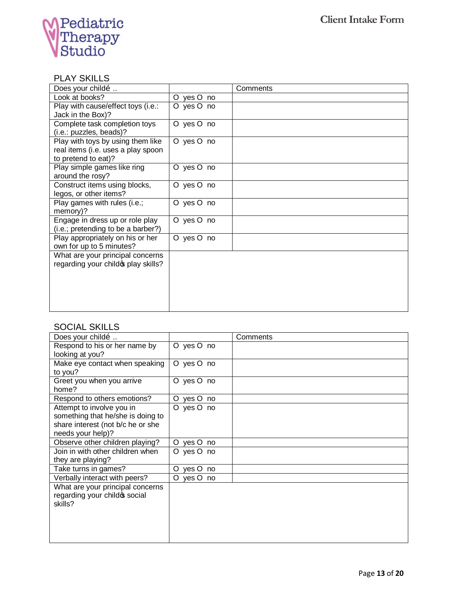

### PLAY SKILLS

| Does your childo                     |            | Comments |
|--------------------------------------|------------|----------|
| Look at books?                       | O yes O no |          |
| Play with cause/effect toys (i.e.:   | O yes O no |          |
| Jack in the Box)?                    |            |          |
| Complete task completion toys        | O yes O no |          |
| (i.e.: puzzles, beads)?              |            |          |
| Play with toys by using them like    | O yes O no |          |
| real items (i.e. uses a play spoon   |            |          |
| to pretend to eat)?                  |            |          |
| Play simple games like ring          | O yes O no |          |
| around the rosy?                     |            |          |
| Construct items using blocks,        | O yes O no |          |
| legos, or other items?               |            |          |
| Play games with rules (i.e.;         | O yes O no |          |
| memory)?                             |            |          |
| Engage in dress up or role play      | O yes O no |          |
| (i.e.; pretending to be a barber?)   |            |          |
| Play appropriately on his or her     | O yes O no |          |
| own for up to 5 minutes?             |            |          |
| What are your principal concerns     |            |          |
| regarding your child op play skills? |            |          |
|                                      |            |          |
|                                      |            |          |
|                                      |            |          |
|                                      |            |          |
|                                      |            |          |

# SOCIAL SKILLS

| Does your childo                  |               |    | Comments |
|-----------------------------------|---------------|----|----------|
| Respond to his or her name by     | O yes O no    |    |          |
| looking at you?                   |               |    |          |
| Make eye contact when speaking    | O yes O no    |    |          |
| to you?                           |               |    |          |
| Greet you when you arrive         | O yes O no    |    |          |
| home?                             |               |    |          |
| Respond to others emotions?       | yes O no<br>O |    |          |
| Attempt to involve you in         | O yes O no    |    |          |
| something that he/she is doing to |               |    |          |
| share interest (not b/c he or she |               |    |          |
| needs your help)?                 |               |    |          |
| Observe other children playing?   | yes O<br>O    | no |          |
| Join in with other children when  | O yes O       | no |          |
| they are playing?                 |               |    |          |
| Take turns in games?              | yes O<br>O    | no |          |
| Verbally interact with peers?     | O yes O no    |    |          |
| What are your principal concerns  |               |    |          |
| regarding your child of social    |               |    |          |
| skills?                           |               |    |          |
|                                   |               |    |          |
|                                   |               |    |          |
|                                   |               |    |          |
|                                   |               |    |          |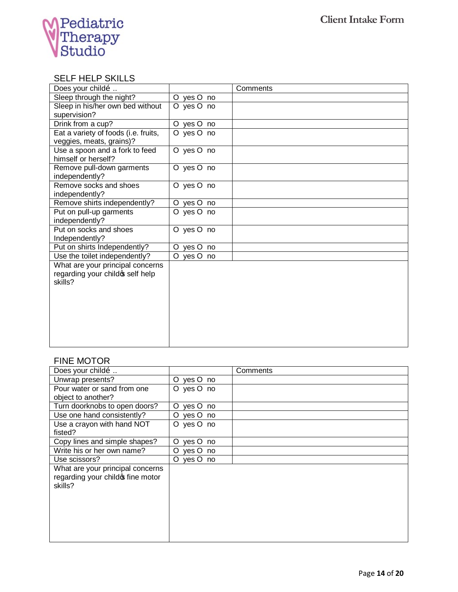

### SELF HELP SKILLS

| Does your childo                                                                 |                     | Comments |
|----------------------------------------------------------------------------------|---------------------|----------|
| Sleep through the night?                                                         | O yes O no          |          |
| Sleep in his/her own bed without                                                 | O yes O no          |          |
| supervision?                                                                     |                     |          |
| Drink from a cup?                                                                | O yes O no          |          |
| Eat a variety of foods (i.e. fruits,<br>veggies, meats, grains)?                 | O yes O no          |          |
| Use a spoon and a fork to feed<br>himself or herself?                            | O yes O no          |          |
| Remove pull-down garments<br>independently?                                      | O yes O no          |          |
| Remove socks and shoes<br>independently?                                         | O yes O no          |          |
| Remove shirts independently?                                                     | O yes O no          |          |
| Put on pull-up garments                                                          | O yes O no          |          |
| independently?                                                                   |                     |          |
| Put on socks and shoes                                                           | O yes O no          |          |
| Independently?                                                                   |                     |          |
| Put on shirts Independently?                                                     | yes O no<br>$\circ$ |          |
| Use the toilet independently?                                                    | O yes O no          |          |
| What are your principal concerns<br>regarding your child of self help<br>skills? |                     |          |
|                                                                                  |                     |          |
|                                                                                  |                     |          |
|                                                                                  |                     |          |
|                                                                                  |                     |          |

### FINE MOTOR

| Does your childo                   |               | Comments |
|------------------------------------|---------------|----------|
| Unwrap presents?                   | O yes O no    |          |
| Pour water or sand from one        | O yes O no    |          |
| object to another?                 |               |          |
| Turn doorknobs to open doors?      | O yes O no    |          |
| Use one hand consistently?         | O yes O no    |          |
| Use a crayon with hand NOT         | O yes O no    |          |
| fisted?                            |               |          |
| Copy lines and simple shapes?      | yes O no<br>O |          |
| Write his or her own name?         | O yes O no    |          |
| Use scissors?                      | O yes O no    |          |
| What are your principal concerns   |               |          |
| regarding your child of fine motor |               |          |
| skills?                            |               |          |
|                                    |               |          |
|                                    |               |          |
|                                    |               |          |
|                                    |               |          |
|                                    |               |          |
|                                    |               |          |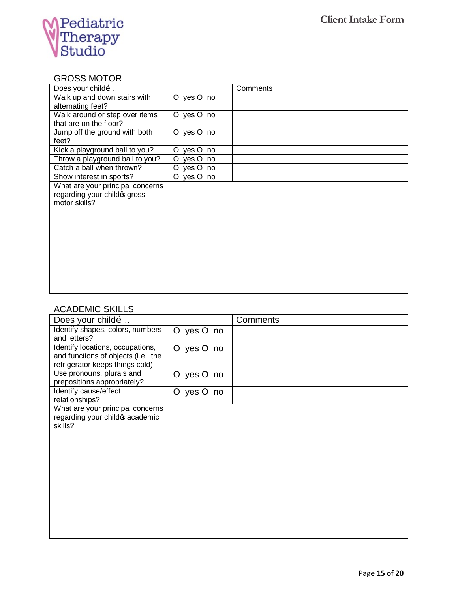

# GROSS MOTOR

| Does your childo                 |                     | Comments |
|----------------------------------|---------------------|----------|
| Walk up and down stairs with     | O yes O no          |          |
| alternating feet?                |                     |          |
| Walk around or step over items   | O yes O no          |          |
| that are on the floor?           |                     |          |
| Jump off the ground with both    | O yes O no          |          |
| feet?                            |                     |          |
| Kick a playground ball to you?   | yes O no<br>O       |          |
| Throw a playground ball to you?  | $\circ$<br>yes O no |          |
| Catch a ball when thrown?        | O yes O no          |          |
| Show interest in sports?         | O yes O no          |          |
| What are your principal concerns |                     |          |
| regarding your child of gross    |                     |          |
| motor skills?                    |                     |          |
|                                  |                     |          |
|                                  |                     |          |
|                                  |                     |          |
|                                  |                     |          |
|                                  |                     |          |
|                                  |                     |          |
|                                  |                     |          |
|                                  |                     |          |
|                                  |                     |          |
|                                  |                     |          |

# ACADEMIC SKILLS

| Does your childo                                                                                           |            | Comments |
|------------------------------------------------------------------------------------------------------------|------------|----------|
| Identify shapes, colors, numbers<br>and letters?                                                           | O yes O no |          |
| Identify locations, occupations,<br>and functions of objects (i.e.; the<br>refrigerator keeps things cold) | O yes O no |          |
| Use pronouns, plurals and<br>prepositions appropriately?                                                   | O yes O no |          |
| Identify cause/effect<br>relationships?                                                                    | O yes O no |          |
| What are your principal concerns<br>regarding your child of academic<br>skills?                            |            |          |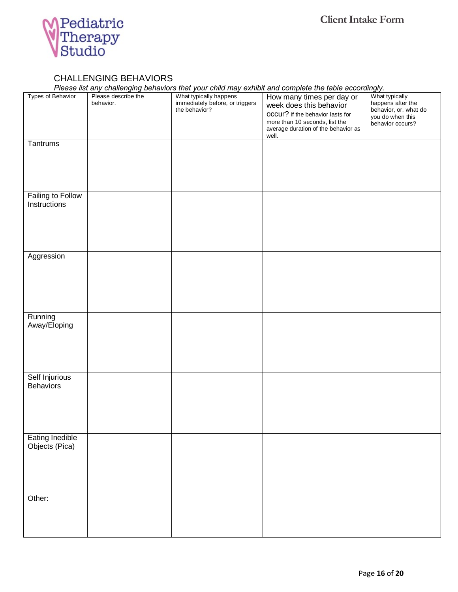

### CHALLENGING BEHAVIORS

*Please list any challenging behaviors that your child may exhibit and complete the table accordingly.*

| Types of Behavior<br>Tantrums            | Please describe the<br>behavior. | What typically happens<br>immediately before, or triggers<br>the behavior? | r reace not any endirenging senations that your entire may exhibit and complete the table accentingly.<br>How many times per day or<br>week does this behavior<br><b>OCCUI?</b> If the behavior lasts for<br>more than 10 seconds, list the<br>average duration of the behavior as<br>well. | What typically<br>happens after the<br>behavior, or, what do<br>you do when this<br>behavior occurs? |
|------------------------------------------|----------------------------------|----------------------------------------------------------------------------|---------------------------------------------------------------------------------------------------------------------------------------------------------------------------------------------------------------------------------------------------------------------------------------------|------------------------------------------------------------------------------------------------------|
|                                          |                                  |                                                                            |                                                                                                                                                                                                                                                                                             |                                                                                                      |
| <b>Failing to Follow</b><br>Instructions |                                  |                                                                            |                                                                                                                                                                                                                                                                                             |                                                                                                      |
| Aggression                               |                                  |                                                                            |                                                                                                                                                                                                                                                                                             |                                                                                                      |
| Running<br>Away/Eloping                  |                                  |                                                                            |                                                                                                                                                                                                                                                                                             |                                                                                                      |
| Self Injurious<br><b>Behaviors</b>       |                                  |                                                                            |                                                                                                                                                                                                                                                                                             |                                                                                                      |
| Eating Inedible<br>Objects (Pica)        |                                  |                                                                            |                                                                                                                                                                                                                                                                                             |                                                                                                      |
| Other:                                   |                                  |                                                                            |                                                                                                                                                                                                                                                                                             |                                                                                                      |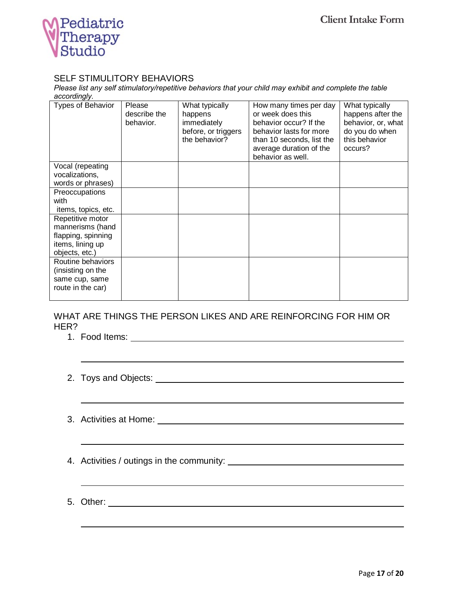

### SELF STIMULITORY BEHAVIORS

*Please list any self stimulatory/repetitive behaviors that your child may exhibit and complete the table accordingly.* 

| <b>Types of Behavior</b>                                                                         | Please<br>describe the<br>behavior. | What typically<br>happens<br>immediately<br>before, or triggers<br>the behavior? | How many times per day<br>or week does this<br>behavior occur? If the<br>behavior lasts for more<br>than 10 seconds, list the<br>average duration of the<br>behavior as well. | What typically<br>happens after the<br>behavior, or, what<br>do you do when<br>this behavior<br>occurs? |
|--------------------------------------------------------------------------------------------------|-------------------------------------|----------------------------------------------------------------------------------|-------------------------------------------------------------------------------------------------------------------------------------------------------------------------------|---------------------------------------------------------------------------------------------------------|
| Vocal (repeating<br>vocalizations,<br>words or phrases)                                          |                                     |                                                                                  |                                                                                                                                                                               |                                                                                                         |
| Preoccupations<br>with<br>items, topics, etc.                                                    |                                     |                                                                                  |                                                                                                                                                                               |                                                                                                         |
| Repetitive motor<br>mannerisms (hand<br>flapping, spinning<br>items, lining up<br>objects, etc.) |                                     |                                                                                  |                                                                                                                                                                               |                                                                                                         |
| Routine behaviors<br>(insisting on the<br>same cup, same<br>route in the car)                    |                                     |                                                                                  |                                                                                                                                                                               |                                                                                                         |

### WHAT ARE THINGS THE PERSON LIKES AND ARE REINFORCING FOR HIM OR HER?

1. Food Items:

# 2. Toys and Objects:

- 3. Activities at Home:
- 4. Activities / outings in the community:
- 5. Other: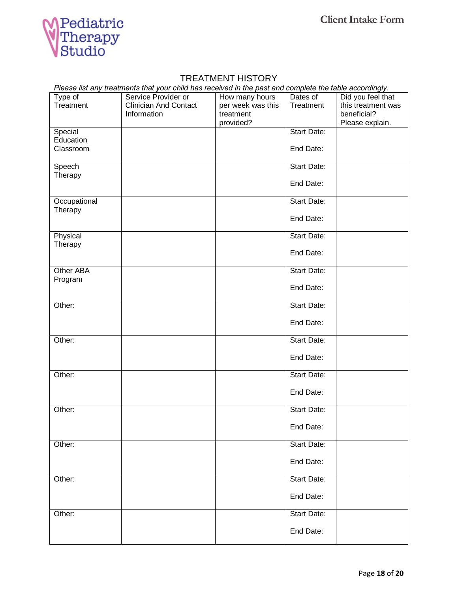

# TREATMENT HISTORY

| Please list any treatments that your child has received in the past and complete the table accordingly. |
|---------------------------------------------------------------------------------------------------------|
|---------------------------------------------------------------------------------------------------------|

| Type of<br>Treatment   | Service Provider or<br><b>Clinician And Contact</b><br>Information | How many hours<br>per week was this<br>treatment | Dates of<br>Treatment | Did you feel that<br>this treatment was<br>beneficial? |
|------------------------|--------------------------------------------------------------------|--------------------------------------------------|-----------------------|--------------------------------------------------------|
|                        |                                                                    | provided?                                        |                       | Please explain.                                        |
| Special                |                                                                    |                                                  | <b>Start Date:</b>    |                                                        |
| Education<br>Classroom |                                                                    |                                                  | End Date:             |                                                        |
| Speech                 |                                                                    |                                                  | Start Date:           |                                                        |
| Therapy                |                                                                    |                                                  | End Date:             |                                                        |
| Occupational           |                                                                    |                                                  | Start Date:           |                                                        |
| Therapy                |                                                                    |                                                  | End Date:             |                                                        |
| Physical               |                                                                    |                                                  | Start Date:           |                                                        |
| Therapy                |                                                                    |                                                  | End Date:             |                                                        |
| Other ABA              |                                                                    |                                                  | Start Date:           |                                                        |
| Program                |                                                                    |                                                  | End Date:             |                                                        |
| Other:                 |                                                                    |                                                  | Start Date:           |                                                        |
|                        |                                                                    |                                                  | End Date:             |                                                        |
| Other:                 |                                                                    |                                                  | Start Date:           |                                                        |
|                        |                                                                    |                                                  | End Date:             |                                                        |
| Other:                 |                                                                    |                                                  | Start Date:           |                                                        |
|                        |                                                                    |                                                  | End Date:             |                                                        |
| Other:                 |                                                                    |                                                  | Start Date:           |                                                        |
|                        |                                                                    |                                                  | End Date:             |                                                        |
| Other:                 |                                                                    |                                                  | Start Date:           |                                                        |
|                        |                                                                    |                                                  | End Date:             |                                                        |
| Other:                 |                                                                    |                                                  | Start Date:           |                                                        |
|                        |                                                                    |                                                  | End Date:             |                                                        |
| Other:                 |                                                                    |                                                  | Start Date:           |                                                        |
|                        |                                                                    |                                                  | End Date:             |                                                        |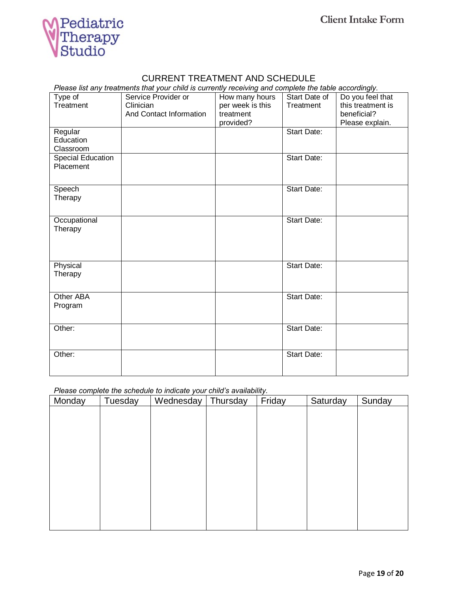

#### CURRENT TREATMENT AND SCHEDULE

*Please list any treatments that your child is currently receiving and complete the table accordingly.* 

| Type of<br>Treatment | Service Provider or<br>Clinician | How many hours<br>per week is this | Start Date of<br>Treatment | Do you feel that<br>this treatment is |
|----------------------|----------------------------------|------------------------------------|----------------------------|---------------------------------------|
|                      | And Contact Information          | treatment                          |                            | beneficial?                           |
|                      |                                  | provided?                          |                            | Please explain.                       |
| Regular              |                                  |                                    | <b>Start Date:</b>         |                                       |
| Education            |                                  |                                    |                            |                                       |
| Classroom            |                                  |                                    |                            |                                       |
| Special Education    |                                  |                                    | Start Date:                |                                       |
| Placement            |                                  |                                    |                            |                                       |
| Speech               |                                  |                                    | <b>Start Date:</b>         |                                       |
| Therapy              |                                  |                                    |                            |                                       |
|                      |                                  |                                    |                            |                                       |
| Occupational         |                                  |                                    | <b>Start Date:</b>         |                                       |
| Therapy              |                                  |                                    |                            |                                       |
|                      |                                  |                                    |                            |                                       |
|                      |                                  |                                    |                            |                                       |
| Physical             |                                  |                                    | <b>Start Date:</b>         |                                       |
| Therapy              |                                  |                                    |                            |                                       |
|                      |                                  |                                    |                            |                                       |
| Other ABA            |                                  |                                    | <b>Start Date:</b>         |                                       |
| Program              |                                  |                                    |                            |                                       |
|                      |                                  |                                    |                            |                                       |
| Other:               |                                  |                                    | <b>Start Date:</b>         |                                       |
|                      |                                  |                                    |                            |                                       |
| Other:               |                                  |                                    | Start Date:                |                                       |
|                      |                                  |                                    |                            |                                       |
|                      |                                  |                                    |                            |                                       |

*Please complete the schedule to indicate your child's availability.* 

| Monday | Tuesday | Wednesday | Thursday | Friday | Saturday | Sunday |
|--------|---------|-----------|----------|--------|----------|--------|
|        |         |           |          |        |          |        |
|        |         |           |          |        |          |        |
|        |         |           |          |        |          |        |
|        |         |           |          |        |          |        |
|        |         |           |          |        |          |        |
|        |         |           |          |        |          |        |
|        |         |           |          |        |          |        |
|        |         |           |          |        |          |        |
|        |         |           |          |        |          |        |
|        |         |           |          |        |          |        |
|        |         |           |          |        |          |        |